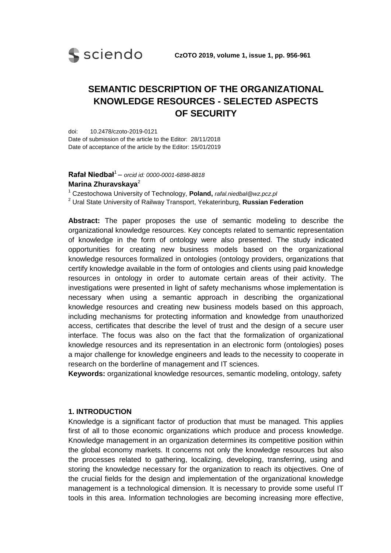

# **SEMANTIC DESCRIPTION OF THE ORGANIZATIONAL KNOWLEDGE RESOURCES - SELECTED ASPECTS OF SECURITY**

doi: 10.2478/czoto-2019-0121 Date of submission of the article to the Editor: 28/11/2018 Date of acceptance of the article by the Editor: 15/01/2019

### **Rafał Niedbał**<sup>1</sup> – *orcid id: 0000-0001-6898-8818* **Marina Zhuravskaya**<sup>2</sup>

<sup>1</sup> Czestochowa University of Technology, **Poland,** *rafal.niedbal@wz.pcz.pl* <sup>2</sup> Ural State University of Railway Transport, Yekaterinburg, **Russian Federation**

**Abstract:** The paper proposes the use of semantic modeling to describe the organizational knowledge resources. Key concepts related to semantic representation of knowledge in the form of ontology were also presented. The study indicated opportunities for creating new business models based on the organizational knowledge resources formalized in ontologies (ontology providers, organizations that certify knowledge available in the form of ontologies and clients using paid knowledge resources in ontology in order to automate certain areas of their activity. The investigations were presented in light of safety mechanisms whose implementation is necessary when using a semantic approach in describing the organizational knowledge resources and creating new business models based on this approach, including mechanisms for protecting information and knowledge from unauthorized access, certificates that describe the level of trust and the design of a secure user interface. The focus was also on the fact that the formalization of organizational knowledge resources and its representation in an electronic form (ontologies) poses a major challenge for knowledge engineers and leads to the necessity to cooperate in research on the borderline of management and IT sciences.

**Keywords:** organizational knowledge resources, semantic modeling, ontology, safety

#### **1. INTRODUCTION**

Knowledge is a significant factor of production that must be managed. This applies first of all to those economic organizations which produce and process knowledge. Knowledge management in an organization determines its competitive position within the global economy markets. It concerns not only the knowledge resources but also the processes related to gathering, localizing, developing, transferring, using and storing the knowledge necessary for the organization to reach its objectives. One of the crucial fields for the design and implementation of the organizational knowledge management is a technological dimension. It is necessary to provide some useful IT tools in this area. Information technologies are becoming increasing more effective,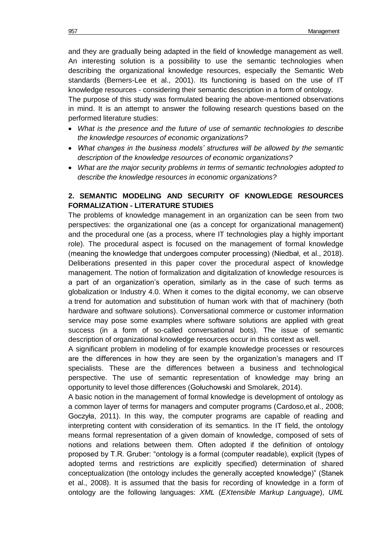and they are gradually being adapted in the field of knowledge management as well. An interesting solution is a possibility to use the semantic technologies when describing the organizational knowledge resources, especially the Semantic Web standards (Berners-Lee et al., 2001). Its functioning is based on the use of IT knowledge resources - considering their semantic description in a form of ontology.

The purpose of this study was formulated bearing the above-mentioned observations in mind. It is an attempt to answer the following research questions based on the performed literature studies:

- *What is the presence and the future of use of semantic technologies to describe the knowledge resources of economic organizations?*
- *What changes in the business models' structures will be allowed by the semantic description of the knowledge resources of economic organizations?*
- *What are the major security problems in terms of semantic technologies adopted to describe the knowledge resources in economic organizations?*

## **2. SEMANTIC MODELING AND SECURITY OF KNOWLEDGE RESOURCES FORMALIZATION - LITERATURE STUDIES**

The problems of knowledge management in an organization can be seen from two perspectives: the organizational one (as a concept for organizational management) and the procedural one (as a process, where IT technologies play a highly important role). The procedural aspect is focused on the management of formal knowledge (meaning the knowledge that undergoes computer processing) (Niedbał, et al., 2018). Deliberations presented in this paper cover the procedural aspect of knowledge management. The notion of formalization and digitalization of knowledge resources is a part of an organization's operation, similarly as in the case of such terms as globalization or Industry 4.0. When it comes to the digital economy, we can observe a trend for automation and substitution of human work with that of machinery (both hardware and software solutions). Conversational commerce or customer information service may pose some examples where software solutions are applied with great success (in a form of so-called conversational bots). The issue of semantic description of organizational knowledge resources occur in this context as well.

A significant problem in modeling of for example knowledge processes or resources are the differences in how they are seen by the organization's managers and IT specialists. These are the differences between a business and technological perspective. The use of semantic representation of knowledge may bring an opportunity to level those differences (Gołuchowski and Smolarek, 2014).

A basic notion in the management of formal knowledge is development of ontology as a common layer of terms for managers and computer programs (Cardoso,et al., 2008; Goczyła, 2011). In this way, the computer programs are capable of reading and interpreting content with consideration of its semantics. In the IT field, the ontology means formal representation of a given domain of knowledge, composed of sets of notions and relations between them. Often adopted if the definition of ontology proposed by T.R. Gruber: "ontology is a formal (computer readable), explicit (types of adopted terms and restrictions are explicitly specified) determination of shared conceptualization (the ontology includes the generally accepted knowledge)" (Stanek et al., 2008). It is assumed that the basis for recording of knowledge in a form of ontology are the following languages: *XML* (*EXtensible Markup Language*), *UML*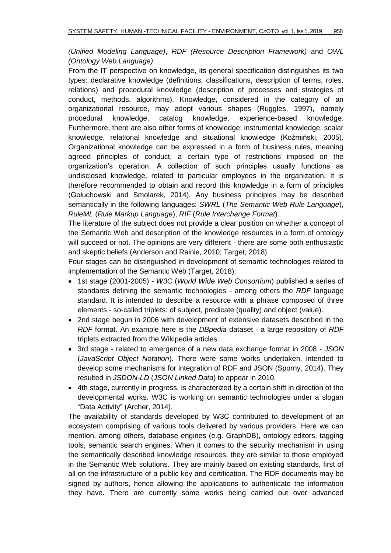*(Unified Modeling Language)*, *RDF (Resource Description Framework)* and *OWL (Ontology Web Language)*.

From the IT perspective on knowledge, its general specification distinguishes its two types: declarative knowledge (definitions, classifications, description of terms, roles, relations) and procedural knowledge (description of processes and strategies of conduct, methods, algorithms). Knowledge, considered in the category of an organizational resource, may adopt various shapes (Ruggles, 1997), namely procedural knowledge, catalog knowledge, experience-based knowledge. Furthermore, there are also other forms of knowledge: instrumental knowledge, scalar knowledge, relational knowledge and situational knowledge (Koźmiński, 2005). Organizational knowledge can be expressed in a form of business rules, meaning agreed principles of conduct, a certain type of restrictions imposed on the organization's operation. A collection of such principles usually functions as undisclosed knowledge, related to particular employees in the organization. It is therefore recommended to obtain and record this knowledge in a form of principles (Gołuchowski and Smolarek, 2014). Any business principles may be described semantically in the following languages: *SWRL* (*The Semantic Web Rule Language*), *RuleML* (*Rule Markup Language*), *RIF* (*Rule Interchange Format*).

The literature of the subject does not provide a clear position on whether a concept of the Semantic Web and description of the knowledge resources in a form of ontology will succeed or not. The opinions are very different - there are some both enthusiastic and skeptic beliefs (Anderson and Rainie, 2010; Target, 2018).

Four stages can be distinguished in development of semantic technologies related to implementation of the Semantic Web (Target, 2018):

- 1st stage (2001-2005) *W3C* (*World Wide Web Consortium*) published a series of standards defining the semantic technologies - among others the *RDF* language standard. It is intended to describe a resource with a phrase composed of three elements - so-called triplets: of subject, predicate (quality) and object (value).
- 2nd stage begun in 2006 with development of extensive datasets described in the *RDF* format. An example here is the *DBpedia* dataset - a large repository of *RDF* triplets extracted from the Wikipedia articles.
- 3rd stage related to emergence of a new data exchange format in 2008 *JSON* (*JavaScript Object Notation*). There were some works undertaken, intended to develop some mechanisms for integration of RDF and JSON (Sporny, 2014). They resulted in *JSDON-LD* (*JSON Linked Data*) to appear in 2010.
- 4th stage, currently in progress, is characterized by a certain shift in direction of the developmental works. W3C is working on semantic technologies under a slogan "Data Activity" (Archer, 2014).

The availability of standards developed by W3C contributed to development of an ecosystem comprising of various tools delivered by various providers. Here we can mention, among others, database engines (e.g. GraphDB), ontology editors, tagging tools, semantic search engines. When it comes to the security mechanism in using the semantically described knowledge resources, they are similar to those employed in the Semantic Web solutions. They are mainly based on existing standards, first of all on the infrastructure of a public key and certification. The RDF documents may be signed by authors, hence allowing the applications to authenticate the information they have. There are currently some works being carried out over advanced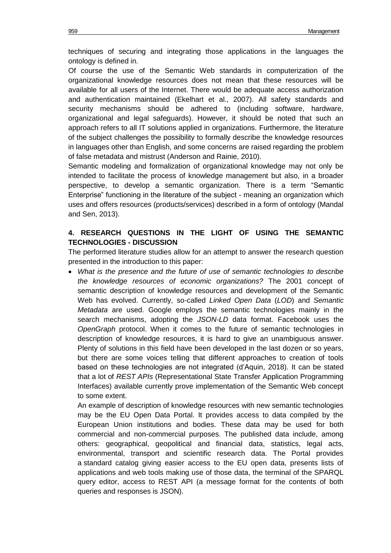techniques of securing and integrating those applications in the languages the ontology is defined in.

Of course the use of the Semantic Web standards in computerization of the organizational knowledge resources does not mean that these resources will be available for all users of the Internet. There would be adequate access authorization and authentication maintained (Ekelhart et al., 2007). All safety standards and security mechanisms should be adhered to (including software, hardware, organizational and legal safeguards). However, it should be noted that such an approach refers to all IT solutions applied in organizations. Furthermore, the literature of the subject challenges the possibility to formally describe the knowledge resources in languages other than English, and some concerns are raised regarding the problem of false metadata and mistrust (Anderson and Rainie, 2010).

Semantic modeling and formalization of organizational knowledge may not only be intended to facilitate the process of knowledge management but also, in a broader perspective, to develop a semantic organization. There is a term "Semantic Enterprise" functioning in the literature of the subject - meaning an organization which uses and offers resources (products/services) described in a form of ontology (Mandal and Sen, 2013).

## **4. RESEARCH QUESTIONS IN THE LIGHT OF USING THE SEMANTIC TECHNOLOGIES - DISCUSSION**

The performed literature studies allow for an attempt to answer the research question presented in the introduction to this paper:

 *What is the presence and the future of use of semantic technologies to describe the knowledge resources of economic organizations?* The 2001 concept of semantic description of knowledge resources and development of the Semantic Web has evolved. Currently, so-called *Linked Open Data* (*LOD*) and *Semantic Metadata* are used. Google employs the semantic technologies mainly in the search mechanisms, adopting the *JSON-LD* data format. Facebook uses the *OpenGraph* protocol. When it comes to the future of semantic technologies in description of knowledge resources, it is hard to give an unambiguous answer. Plenty of solutions in this field have been developed in the last dozen or so years, but there are some voices telling that different approaches to creation of tools based on these technologies are not integrated (d'Aquin, 2018). It can be stated that a lot of *REST APIs* (Representational State Transfer Application Programming Interfaces) available currently prove implementation of the Semantic Web concept to some extent.

An example of description of knowledge resources with new semantic technologies may be the EU Open Data Portal. It provides access to data compiled by the European Union institutions and bodies. These data may be used for both commercial and non-commercial purposes. The published data include, among others: geographical, geopolitical and financial data, statistics, legal acts, environmental, transport and scientific research data. The Portal provides a standard catalog giving easier access to the EU open data, presents lists of applications and web tools making use of those data, the terminal of the SPARQL query editor, access to REST API (a message format for the contents of both queries and responses is JSON).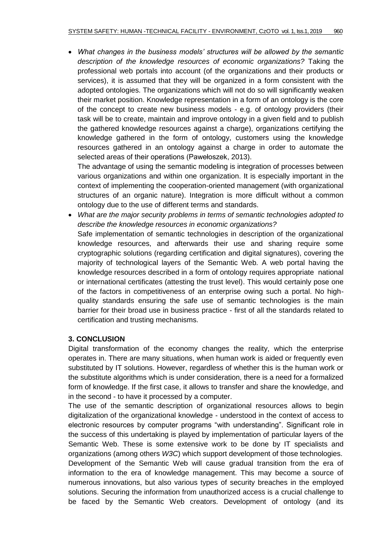*What changes in the business models' structures will be allowed by the semantic description of the knowledge resources of economic organizations?* Taking the professional web portals into account (of the organizations and their products or services), it is assumed that they will be organized in a form consistent with the adopted ontologies. The organizations which will not do so will significantly weaken their market position. Knowledge representation in a form of an ontology is the core of the concept to create new business models - e.g. of ontology providers (their task will be to create, maintain and improve ontology in a given field and to publish the gathered knowledge resources against a charge), organizations certifying the knowledge gathered in the form of ontology, customers using the knowledge resources gathered in an ontology against a charge in order to automate the selected areas of their operations (Pawełoszek, 2013).

The advantage of using the semantic modeling is integration of processes between various organizations and within one organization. It is especially important in the context of implementing the cooperation-oriented management (with organizational structures of an organic nature). Integration is more difficult without a common ontology due to the use of different terms and standards.

 *What are the major security problems in terms of semantic technologies adopted to describe the knowledge resources in economic organizations?* Safe implementation of semantic technologies in description of the organizational knowledge resources, and afterwards their use and sharing require some cryptographic solutions (regarding certification and digital signatures), covering the majority of technological layers of the Semantic Web. A web portal having the knowledge resources described in a form of ontology requires appropriate national or international certificates (attesting the trust level). This would certainly pose one of the factors in competitiveness of an enterprise owing such a portal. No highquality standards ensuring the safe use of semantic technologies is the main barrier for their broad use in business practice - first of all the standards related to certification and trusting mechanisms.

## **3. CONCLUSION**

Digital transformation of the economy changes the reality, which the enterprise operates in. There are many situations, when human work is aided or frequently even substituted by IT solutions. However, regardless of whether this is the human work or the substitute algorithms which is under consideration, there is a need for a formalized form of knowledge. If the first case, it allows to transfer and share the knowledge, and in the second - to have it processed by a computer.

The use of the semantic description of organizational resources allows to begin digitalization of the organizational knowledge - understood in the context of access to electronic resources by computer programs "with understanding". Significant role in the success of this undertaking is played by implementation of particular layers of the Semantic Web. These is some extensive work to be done by IT specialists and organizations (among others *W3C*) which support development of those technologies.

Development of the Semantic Web will cause gradual transition from the era of information to the era of knowledge management. This may become a source of numerous innovations, but also various types of security breaches in the employed solutions. Securing the information from unauthorized access is a crucial challenge to be faced by the Semantic Web creators. Development of ontology (and its